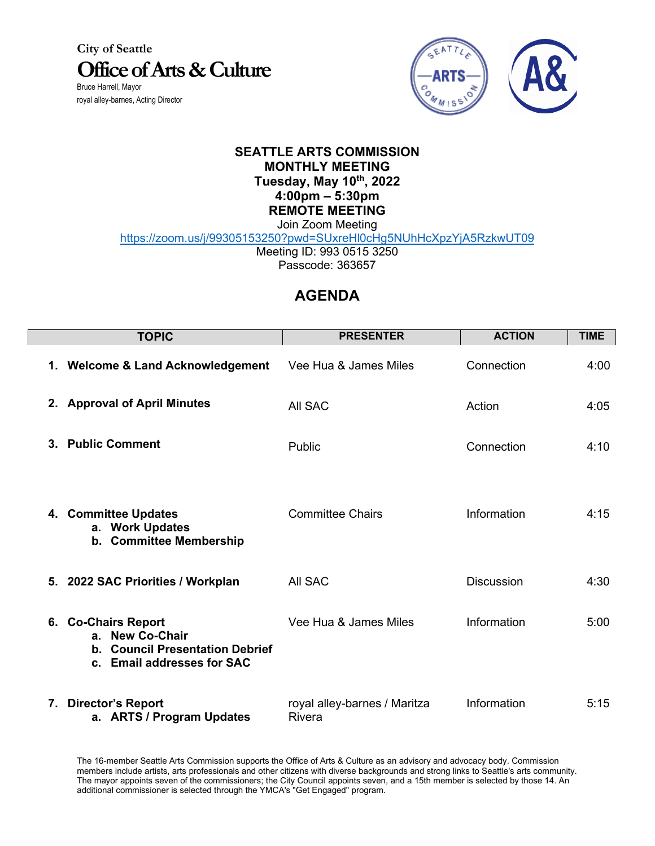**City of Seattle Office of Arts & Culture** Bruce Harrell, Mayor

royal alley-barnes, Acting Director



## **SEATTLE ARTS COMMISSION MONTHLY MEETING Tuesday, May 10th, 2022 4:00pm – 5:30pm REMOTE MEETING**

Join Zoom Meeting https://zoom.us/j/99305153250?pwd=SUxreHl0cHg5NUhHcXpzYjA5RzkwUT09

Meeting ID: 993 0515 3250 Passcode: 363657

## **AGENDA**

| <b>TOPIC</b>                                                                                            | <b>PRESENTER</b>                              | <b>ACTION</b>     | <b>TIME</b> |
|---------------------------------------------------------------------------------------------------------|-----------------------------------------------|-------------------|-------------|
| 1. Welcome & Land Acknowledgement                                                                       | Vee Hua & James Miles                         | Connection        | 4:00        |
| 2. Approval of April Minutes                                                                            | All SAC                                       | Action            | 4:05        |
| 3. Public Comment                                                                                       | Public                                        | Connection        | 4:10        |
| 4. Committee Updates<br>a. Work Updates<br>b. Committee Membership                                      | <b>Committee Chairs</b>                       | Information       | 4:15        |
| 5. 2022 SAC Priorities / Workplan                                                                       | All SAC                                       | <b>Discussion</b> | 4:30        |
| 6. Co-Chairs Report<br>a. New Co-Chair<br>b. Council Presentation Debrief<br>c. Email addresses for SAC | Vee Hua & James Miles                         | Information       | 5:00        |
| 7. Director's Report<br>a. ARTS / Program Updates                                                       | royal alley-barnes / Maritza<br><b>Rivera</b> | Information       | 5:15        |

The 16-member Seattle Arts Commission supports the Office of Arts & Culture as an advisory and advocacy body. Commission members include artists, arts professionals and other citizens with diverse backgrounds and strong links to Seattle's arts community. The mayor appoints seven of the commissioners; the City Council appoints seven, and a 15th member is selected by those 14. An additional commissioner is selected through the YMCA's "Get Engaged" program.